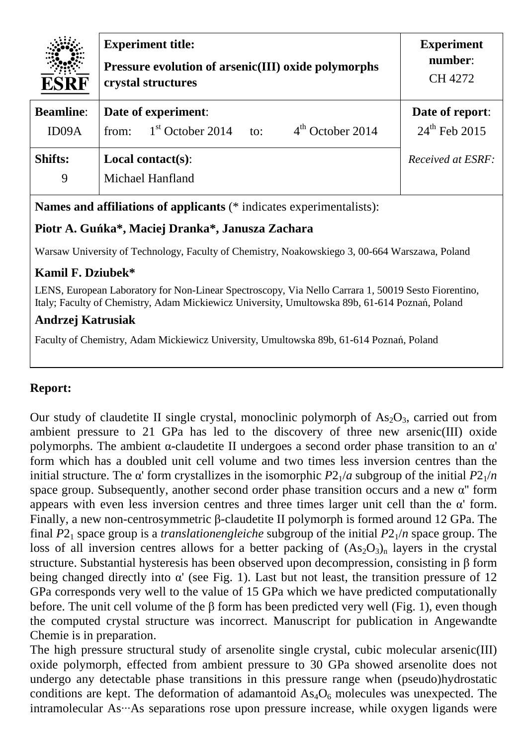| <b>ESRF</b>               | <b>Experiment title:</b><br>Pressure evolution of arsenic(III) oxide polymorphs<br>crystal structures | <b>Experiment</b><br>number:<br>CH 4272 |
|---------------------------|-------------------------------------------------------------------------------------------------------|-----------------------------------------|
| <b>Beamline:</b><br>ID09A | Date of experiment:<br>$4th$ October 2014<br>$1st$ October 2014<br>from:<br>to:                       | Date of report:<br>$24^{th}$ Feb 2015   |
| <b>Shifts:</b><br>9       | Local contact $(s)$ :<br>Michael Hanfland                                                             | Received at ESRF:                       |

**Names and affiliations of applicants** (\* indicates experimentalists):

## **Piotr A. Guńka\*, Maciej Dranka\*, Janusza Zachara**

Warsaw University of Technology, Faculty of Chemistry, Noakowskiego 3, 00-664 Warszawa, Poland

## **Kamil F. Dziubek\***

LENS, European Laboratory for Non-Linear Spectroscopy, Via Nello Carrara 1, 50019 Sesto Fiorentino, Italy; Faculty of Chemistry, Adam Mickiewicz University, Umultowska 89b, 61-614 Poznań, Poland

## **Andrzej Katrusiak**

Faculty of Chemistry, Adam Mickiewicz University, Umultowska 89b, 61-614 Poznań, Poland

## **Report:**

Our study of claudetite II single crystal, monoclinic polymorph of  $As_2O_3$ , carried out from ambient pressure to 21 GPa has led to the discovery of three new arsenic(III) oxide polymorphs. The ambient  $\alpha$ -claudetite II undergoes a second order phase transition to an  $\alpha'$ form which has a doubled unit cell volume and two times less inversion centres than the initial structure. The  $\alpha'$  form crystallizes in the isomorphic  $P2_1/a$  subgroup of the initial  $P2_1/n$ space group. Subsequently, another second order phase transition occurs and a new  $\alpha$ <sup>"</sup> form appears with even less inversion centres and three times larger unit cell than the  $\alpha'$  form. Finally, a new non-centrosymmetric β-claudetite II polymorph is formed around 12 GPa. The final  $P2_1$  space group is a *translationengleiche* subgroup of the initial  $P2_1/n$  space group. The loss of all inversion centres allows for a better packing of  $(As<sub>2</sub>O<sub>3</sub>)<sub>n</sub>$  layers in the crystal structure. Substantial hysteresis has been observed upon decompression, consisting in β form being changed directly into  $\alpha'$  (see Fig. 1). Last but not least, the transition pressure of 12 GPa corresponds very well to the value of 15 GPa which we have predicted computationally before. The unit cell volume of the  $\beta$  form has been predicted very well (Fig. 1), even though the computed crystal structure was incorrect. Manuscript for publication in Angewandte Chemie is in preparation.

The high pressure structural study of arsenolite single crystal, cubic molecular arsenic(III) oxide polymorph, effected from ambient pressure to 30 GPa showed arsenolite does not undergo any detectable phase transitions in this pressure range when (pseudo)hydrostatic conditions are kept. The deformation of adamantoid  $As<sub>4</sub>O<sub>6</sub>$  molecules was unexpected. The intramolecular As…As separations rose upon pressure increase, while oxygen ligands were